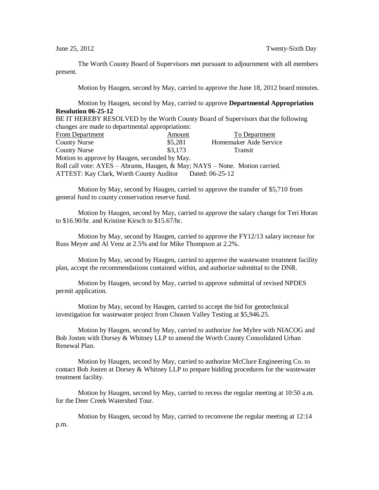The Worth County Board of Supervisors met pursuant to adjournment with all members present.

Motion by Haugen, second by May, carried to approve the June 18, 2012 board minutes.

Motion by Haugen, second by May, carried to approve **Departmental Appropriation Resolution 06-25-12**

BE IT HEREBY RESOLVED by the Worth County Board of Supervisors that the following changes are made to departmental appropriations:

| <b>From Department</b>                                                     | Amount  | <b>To Department</b>   |  |  |
|----------------------------------------------------------------------------|---------|------------------------|--|--|
| <b>County Nurse</b>                                                        | \$5,281 | Homemaker Aide Service |  |  |
| <b>County Nurse</b>                                                        | \$3,173 | <b>Transit</b>         |  |  |
| Motion to approve by Haugen, seconded by May.                              |         |                        |  |  |
| Roll call vote: AYES – Abrams, Haugen, & May; NAYS – None. Motion carried. |         |                        |  |  |
| <b>ATTEST: Kay Clark, Worth County Auditor</b>                             |         | Dated: 06-25-12        |  |  |

Motion by May, second by Haugen, carried to approve the transfer of \$5,710 from general fund to county conservation reserve fund.

Motion by Haugen, second by May, carried to approve the salary change for Teri Horan to \$16.90/hr. and Kristine Kirsch to \$15.67/hr.

Motion by May, second by Haugen, carried to approve the FY12/13 salary increase for Russ Meyer and Al Venz at 2.5% and for Mike Thompson at 2.2%.

Motion by May, second by Haugen, carried to approve the wastewater treatment facility plan, accept the recommendations contained within, and authorize submittal to the DNR.

Motion by Haugen, second by May, carried to approve submittal of revised NPDES permit application.

Motion by May, second by Haugen, carried to accept the bid for geotechnical investigation for wastewater project from Chosen Valley Testing at \$5,946.25.

Motion by Haugen, second by May, carried to authorize Joe Myhre with NIACOG and Bob Josten with Dorsey & Whitney LLP to amend the Worth County Consolidated Urban Renewal Plan.

Motion by Haugen, second by May, carried to authorize McClure Engineering Co. to contact Bob Josten at Dorsey & Whitney LLP to prepare bidding procedures for the wastewater treatment facility.

Motion by Haugen, second by May, carried to recess the regular meeting at 10:50 a.m. for the Deer Creek Watershed Tour.

Motion by Haugen, second by May, carried to reconvene the regular meeting at 12:14 p.m.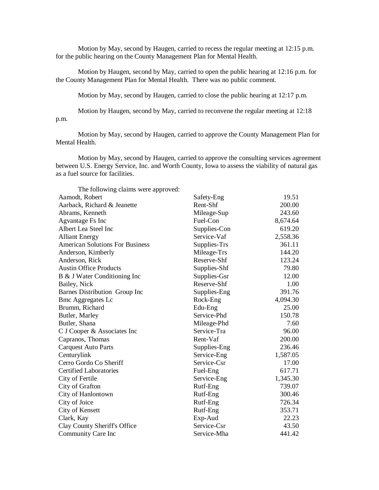Motion by May, second by Haugen, carried to recess the regular meeting at 12:15 p.m. for the public hearing on the County Management Plan for Mental Health.

Motion by Haugen, second by May, carried to open the public hearing at 12:16 p.m. for the County Management Plan for Mental Health. There was no public comment.

Motion by May, second by Haugen, carried to close the public hearing at 12:17 p.m.

Motion by Haugen, second by May, carried to reconvene the regular meeting at 12:18 p.m.

Motion by May, second by Haugen, carried to approve the County Management Plan for Mental Health.

Motion by May, second by Haugen, carried to approve the consulting services agreement between U.S. Energy Service, Inc. and Worth County, Iowa to assess the viability of natural gas as a fuel source for facilities.

| The following claims were approved:    |              |          |
|----------------------------------------|--------------|----------|
| Aamodt, Robert                         | Safety-Eng   | 19.51    |
| Aarback, Richard & Jeanette            | Rent-Shf     | 200.00   |
| Abrams, Kenneth                        | Mileage-Sup  | 243.60   |
| Agvantage Fs Inc                       | Fuel-Con     | 8,674.64 |
| Albert Lea Steel Inc                   | Supplies-Con | 619.20   |
| <b>Alliant Energy</b>                  | Service-Vaf  | 2,558.36 |
| <b>American Solutions For Business</b> | Supplies-Trs | 361.11   |
| Anderson, Kimberly                     | Mileage-Trs  | 144.20   |
| Anderson, Rick                         | Reserve-Shf  | 123.24   |
| <b>Austin Office Products</b>          | Supplies-Shf | 79.80    |
| B & J Water Conditioning Inc           | Supplies-Gsr | 12.00    |
| Bailey, Nick                           | Reserve-Shf  | 1.00     |
| Barnes Distribution Group Inc          | Supplies-Eng | 391.76   |
| <b>Bmc Aggregates Lc</b>               | Rock-Eng     | 4,094.30 |
| Brumm, Richard                         | Edu-Eng      | 25.00    |
| Butler, Marley                         | Service-Phd  | 150.78   |
| Butler, Shana                          | Mileage-Phd  | 7.60     |
| C J Cooper & Associates Inc            | Service-Tra  | 96.00    |
| Capranos, Thomas                       | Rent-Vaf     | 200.00   |
| <b>Carquest Auto Parts</b>             | Supplies-Eng | 236.46   |
| Centurylink                            | Service-Eng  | 1,587.05 |
| Cerro Gordo Co Sheriff                 | Service-Csr  | 17.00    |
| <b>Certified Laboratories</b>          | Fuel-Eng     | 617.71   |
| City of Fertile                        | Service-Eng  | 1,345.30 |
| City of Grafton                        | Rutf-Eng     | 739.07   |
| City of Hanlontown                     | Rutf-Eng     | 300.46   |
| City of Joice                          | Rutf-Eng     | 726.34   |
| City of Kensett                        | Rutf-Eng     | 353.71   |
| Clark, Kay                             | Exp-Aud      | 22.23    |
| Clay County Sheriff's Office           | Service-Csr  | 43.50    |
| Community Care Inc                     | Service-Mha  | 441.42   |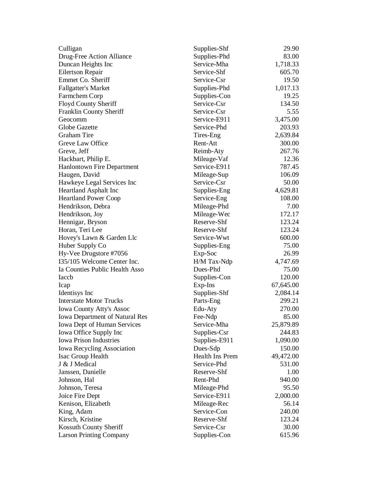| Culligan                                                             | Supplies-Shf                       | 29.90     |
|----------------------------------------------------------------------|------------------------------------|-----------|
| Drug-Free Action Alliance                                            | Supplies-Phd                       | 83.00     |
| Duncan Heights Inc                                                   | Service-Mha                        | 1,718.33  |
| <b>Eilertson Repair</b>                                              | Service-Shf                        | 605.70    |
| Emmet Co. Sheriff                                                    | Service-Csr                        | 19.50     |
| <b>Fallgatter's Market</b>                                           | Supplies-Phd                       | 1,017.13  |
| Farmchem Corp                                                        | Supplies-Con                       | 19.25     |
| Floyd County Sheriff                                                 | Service-Csr                        | 134.50    |
| Franklin County Sheriff                                              | Service-Csr                        | 5.55      |
| Geocomm                                                              | Service-E911                       | 3,475.00  |
| <b>Globe Gazette</b>                                                 | Service-Phd                        | 203.93    |
| <b>Graham Tire</b>                                                   | Tires-Eng                          | 2,639.84  |
| Greve Law Office                                                     | Rent-Att                           | 300.00    |
| Greve, Jeff                                                          | Reimb-Aty                          | 267.76    |
| Hackbart, Philip E.                                                  | Mileage-Vaf                        | 12.36     |
| <b>Hanlontown Fire Department</b>                                    | Service-E911                       | 787.45    |
| Haugen, David                                                        | Mileage-Sup                        | 106.09    |
| Hawkeye Legal Services Inc                                           | Service-Csr                        | 50.00     |
| <b>Heartland Asphalt Inc</b>                                         | Supplies-Eng                       | 4,629.81  |
| <b>Heartland Power Coop</b>                                          | Service-Eng                        | 108.00    |
| Hendrikson, Debra                                                    | Mileage-Phd                        | 7.00      |
| Hendrikson, Joy                                                      | Mileage-Wec                        | 172.17    |
| Hennigar, Bryson                                                     | Reserve-Shf                        | 123.24    |
| Horan, Teri Lee                                                      | Reserve-Shf                        | 123.24    |
| Hovey's Lawn & Garden Llc                                            | Service-Wwt                        | 600.00    |
| Huber Supply Co                                                      | Supplies-Eng                       | 75.00     |
| Hy-Vee Drugstore #7056                                               | Exp-Soc                            | 26.99     |
| I35/105 Welcome Center Inc.                                          | H/M Tax-Ndp                        | 4,747.69  |
| Ia Counties Public Health Asso                                       | Dues-Phd                           | 75.00     |
| Iaccb                                                                | Supplies-Con                       | 120.00    |
| Icap                                                                 | Exp-Ins                            | 67,645.00 |
| Identisys Inc                                                        | Supplies-Shf                       | 2,084.14  |
| <b>Interstate Motor Trucks</b>                                       | Parts-Eng                          | 299.21    |
| <b>Iowa County Atty's Assoc</b>                                      | Edu-Aty                            | 270.00    |
|                                                                      | Fee-Ndp                            | 85.00     |
| <b>Iowa Department of Natural Res</b><br>Iowa Dept of Human Services | Service-Mha                        | 25,879.89 |
|                                                                      | Supplies-Csr                       | 244.83    |
| Iowa Office Supply Inc<br><b>Iowa Prison Industries</b>              | Supplies-E911                      | 1,090.00  |
|                                                                      |                                    | 150.00    |
| Iowa Recycling Association                                           | Dues-Sdp<br><b>Health Ins Prem</b> |           |
| Isac Group Health                                                    |                                    | 49,472.00 |
| J & J Medical                                                        | Service-Phd                        | 531.00    |
| Janssen, Danielle                                                    | Reserve-Shf<br>Rent-Phd            | 1.00      |
| Johnson, Hal                                                         |                                    | 940.00    |
| Johnson, Teresa                                                      | Mileage-Phd                        | 95.50     |
| Joice Fire Dept                                                      | Service-E911                       | 2,000.00  |
| Kenison, Elizabeth                                                   | Mileage-Rec                        | 56.14     |
| King, Adam                                                           | Service-Con                        | 240.00    |
| Kirsch, Kristine                                                     | Reserve-Shf                        | 123.24    |
| Kossuth County Sheriff                                               | Service-Csr                        | 30.00     |
| <b>Larson Printing Company</b>                                       | Supplies-Con                       | 615.96    |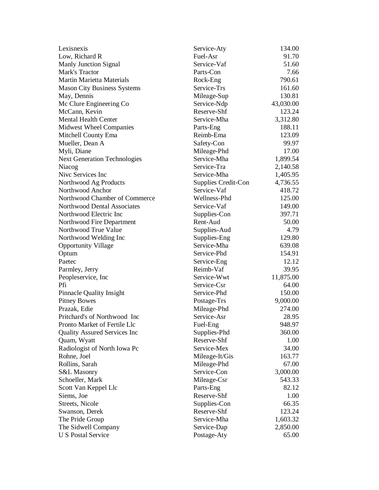| Lexisnexis                           | Service-Aty         | 134.00    |
|--------------------------------------|---------------------|-----------|
| Low, Richard R                       | Fuel-Asr            | 91.70     |
| <b>Manly Junction Signal</b>         | Service-Vaf         | 51.60     |
| Mark's Tractor                       | Parts-Con           | 7.66      |
| <b>Martin Marietta Materials</b>     | Rock-Eng            | 790.61    |
| <b>Mason City Business Systems</b>   | Service-Trs         | 161.60    |
| May, Dennis                          | Mileage-Sup         | 130.81    |
| Mc Clure Engineering Co              | Service-Ndp         | 43,030.00 |
| McCann, Kevin                        | Reserve-Shf         | 123.24    |
| <b>Mental Health Center</b>          | Service-Mha         | 3,312.80  |
| <b>Midwest Wheel Companies</b>       | Parts-Eng           | 188.11    |
| Mitchell County Ema                  | Reimb-Ema           | 123.09    |
| Mueller, Dean A                      | Safety-Con          | 99.97     |
| Myli, Diane                          | Mileage-Phd         | 17.00     |
| <b>Next Generation Technologies</b>  | Service-Mha         | 1,899.54  |
| Niacog                               | Service-Tra         | 2,140.58  |
| Nive Services Inc                    | Service-Mha         | 1,405.95  |
| Northwood Ag Products                | Supplies Credit-Con | 4,736.55  |
| Northwood Anchor                     | Service-Vaf         | 418.72    |
| Northwood Chamber of Commerce        | Wellness-Phd        | 125.00    |
| Northwood Dental Associates          | Service-Vaf         | 149.00    |
| Northwood Electric Inc               | Supplies-Con        | 397.71    |
| Northwood Fire Department            | Rent-Aud            | 50.00     |
| Northwood True Value                 | Supplies-Aud        | 4.79      |
| Northwood Welding Inc                | Supplies-Eng        | 129.80    |
| <b>Opportunity Village</b>           | Service-Mha         | 639.08    |
| Optum                                | Service-Phd         | 154.91    |
| Paetec                               | Service-Eng         | 12.12     |
| Parmley, Jerry                       | Reimb-Vaf           | 39.95     |
| Peopleservice, Inc.                  | Service-Wwt         | 11,875.00 |
| Pfi                                  | Service-Csr         | 64.00     |
| <b>Pinnacle Quality Insight</b>      | Service-Phd         | 150.00    |
| <b>Pitney Bowes</b>                  | Postage-Trs         | 9,000.00  |
| Prazak, Edie                         | Mileage-Phd         | 274.00    |
| Pritchard's of Northwood Inc         | Service-Asr         | 28.95     |
| Pronto Market of Fertile Llc         | Fuel-Eng            | 948.97    |
| <b>Quality Assured Services Inc.</b> | Supplies-Phd        | 360.00    |
| Quam, Wyatt                          | Reserve-Shf         | 1.00      |
| Radiologist of North Iowa Pc         | Service-Mex         | 34.00     |
| Rohne, Joel                          |                     | 163.77    |
| Rollins, Sarah                       | Mileage-It/Gis      |           |
|                                      | Mileage-Phd         | 67.00     |
| S&L Masonry                          | Service-Con         | 3,000.00  |
| Schoeller, Mark                      | Mileage-Csr         | 543.33    |
| Scott Van Keppel Llc                 | Parts-Eng           | 82.12     |
| Siems, Joe                           | Reserve-Shf         | 1.00      |
| Streets, Nicole                      | Supplies-Con        | 66.35     |
| Swanson, Derek                       | Reserve-Shf         | 123.24    |
| The Pride Group                      | Service-Mha         | 1,603.32  |
| The Sidwell Company                  | Service-Dap         | 2,850.00  |
| <b>U S Postal Service</b>            | Postage-Aty         | 65.00     |